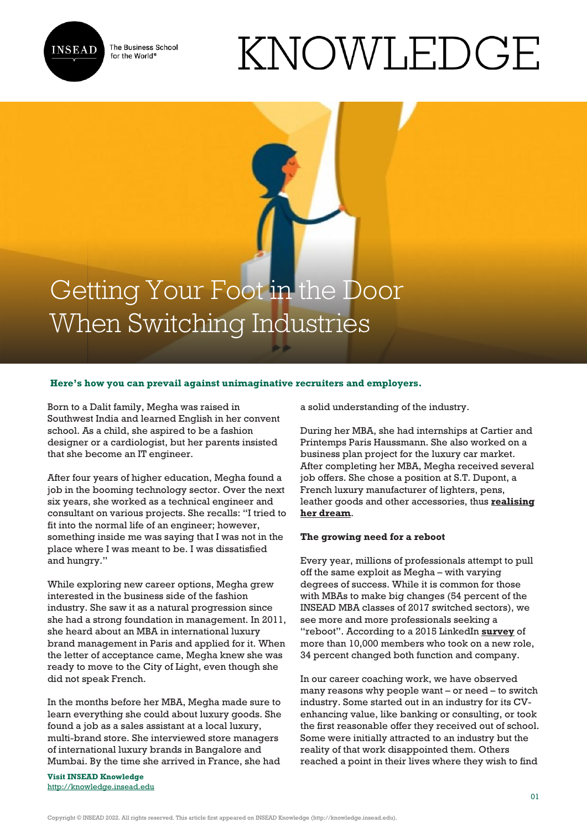

The Business School for the World<sup>®</sup>

# KNOWLEDGE

# Getting Your Foot in the Door When Switching Industries

## **Here's how you can prevail against unimaginative recruiters and employers.**

Born to a Dalit family, Megha was raised in Southwest India and learned English in her convent school. As a child, she aspired to be a fashion designer or a cardiologist, but her parents insisted that she become an IT engineer.

After four years of higher education, Megha found a job in the booming technology sector. Over the next six years, she worked as a technical engineer and consultant on various projects. She recalls: "I tried to fit into the normal life of an engineer; however, something inside me was saying that I was not in the place where I was meant to be. I was dissatisfied and hungry."

While exploring new career options, Megha grew interested in the business side of the fashion industry. She saw it as a natural progression since she had a strong foundation in management. In 2011, she heard about an MBA in international luxury brand management in Paris and applied for it. When the letter of acceptance came, Megha knew she was ready to move to the City of Light, even though she did not speak French.

In the months before her MBA, Megha made sure to learn everything she could about luxury goods. She found a job as a sales assistant at a local luxury, multi-brand store. She interviewed store managers of international luxury brands in Bangalore and Mumbai. By the time she arrived in France, she had

**Visit INSEAD Knowledge** <http://knowledge.insead.edu> a solid understanding of the industry.

During her MBA, she had internships at Cartier and Printemps Paris Haussmann. She also worked on a business plan project for the luxury car market. After completing her MBA, Megha received several job offers. She chose a position at S.T. Dupont, a French luxury manufacturer of lighters, pens, leather goods and other accessories, thus **[realising](https://cases.insead.edu/publishing/case?code=37487) [her dream](https://cases.insead.edu/publishing/case?code=37487)**.

#### **The growing need for a reboot**

Every year, millions of professionals attempt to pull off the same exploit as Megha – with varying degrees of success. While it is common for those with MBAs to make big changes (54 percent of the INSEAD MBA classes of 2017 switched sectors), we see more and more professionals seeking a "reboot". According to a 2015 LinkedIn **[survey](https://business.linkedin.com/content/dam/business/talent-solutions/global/en_us/job-switchers/PDF/job-switchers-global-report-english.pdf)** of more than 10,000 members who took on a new role, 34 percent changed both function and company.

In our career coaching work, we have observed many reasons why people want – or need – to switch industry. Some started out in an industry for its CVenhancing value, like banking or consulting, or took the first reasonable offer they received out of school. Some were initially attracted to an industry but the reality of that work disappointed them. Others reached a point in their lives where they wish to find

Copyright © INSEAD 2022. All rights reserved. This article first appeared on INSEAD Knowledge (http://knowledge.insead.edu).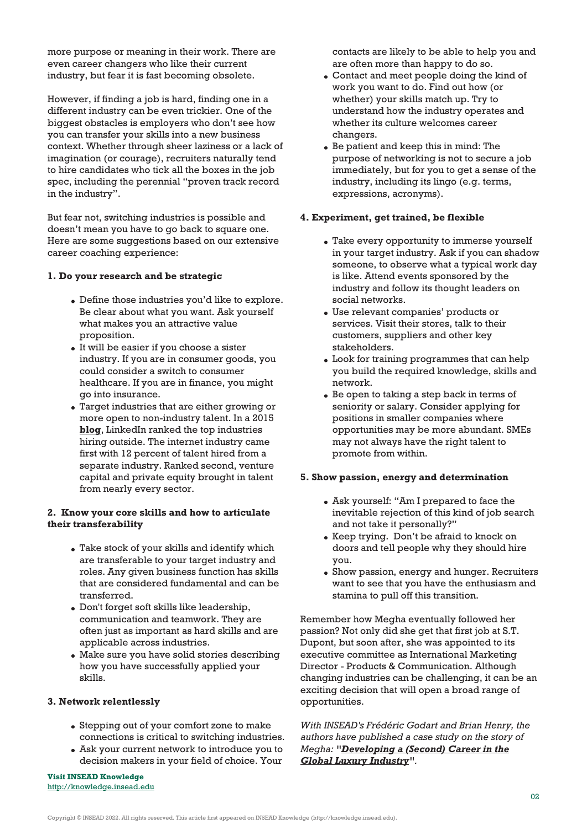more purpose or meaning in their work. There are even career changers who like their current industry, but fear it is fast becoming obsolete.

However, if finding a job is hard, finding one in a different industry can be even trickier. One of the biggest obstacles is employers who don't see how you can transfer your skills into a new business context. Whether through sheer laziness or a lack of imagination (or courage), recruiters naturally tend to hire candidates who tick all the boxes in the job spec, including the perennial "proven track record in the industry".

But fear not, switching industries is possible and doesn't mean you have to go back to square one. Here are some suggestions based on our extensive career coaching experience:

### **1. Do your research and be strategic**

- Define those industries you'd like to explore. Be clear about what you want. Ask yourself what makes you an attractive value proposition.
- It will be easier if you choose a sister industry. If you are in consumer goods, you could consider a switch to consumer healthcare. If you are in finance, you might go into insurance.
- Target industries that are either growing or more open to non-industry talent. In a 2015 **[blog](https://blog.linkedin.com/2015/01/30/switching-industries-no-longer-means-starting-over)**, LinkedIn ranked the top industries hiring outside. The internet industry came first with 12 percent of talent hired from a separate industry. Ranked second, venture capital and private equity brought in talent from nearly every sector.

# **2. Know your core skills and how to articulate their transferability**

- Take stock of your skills and identify which are transferable to your target industry and roles. Any given business function has skills that are considered fundamental and can be transferred.
- Don't forget soft skills like leadership, communication and teamwork. They are often just as important as hard skills and are applicable across industries.
- Make sure you have solid stories describing how you have successfully applied your skills.

#### **3. Network relentlessly**

- Stepping out of your comfort zone to make connections is critical to switching industries.
- Ask your current network to introduce you to decision makers in your field of choice. Your

**Visit INSEAD Knowledge** <http://knowledge.insead.edu>

contacts are likely to be able to help you and are often more than happy to do so.

- Contact and meet people doing the kind of work you want to do. Find out how (or whether) your skills match up. Try to understand how the industry operates and whether its culture welcomes career changers.
- Be patient and keep this in mind: The purpose of networking is not to secure a job immediately, but for you to get a sense of the industry, including its lingo (e.g. terms, expressions, acronyms).

#### **4. Experiment, get trained, be flexible**

- Take every opportunity to immerse yourself in your target industry. Ask if you can shadow someone, to observe what a typical work day is like. Attend events sponsored by the industry and follow its thought leaders on social networks.
- Use relevant companies' products or services. Visit their stores, talk to their customers, suppliers and other key stakeholders.
- Look for training programmes that can help you build the required knowledge, skills and network.
- Be open to taking a step back in terms of seniority or salary. Consider applying for positions in smaller companies where opportunities may be more abundant. SMEs may not always have the right talent to promote from within.

# **5. Show passion, energy and determination**

- Ask yourself: "Am I prepared to face the inevitable rejection of this kind of job search and not take it personally?"
- Keep trying. Don't be afraid to knock on doors and tell people why they should hire you.
- Show passion, energy and hunger. Recruiters want to see that you have the enthusiasm and stamina to pull off this transition.

Remember how Megha eventually followed her passion? Not only did she get that first job at S.T. Dupont, but soon after, she was appointed to its executive committee as International Marketing Director - Products & Communication. Although changing industries can be challenging, it can be an exciting decision that will open a broad range of opportunities.

*With INSEAD's Frédéric Godart and Brian Henry, the authors have published a case study on the story of Megha: ["Developing a \(Second\) Career in the](https://cases.insead.edu/publishing/case?code=37487) [Global Luxury Industry](https://cases.insead.edu/publishing/case?code=37487)".* 

Copyright © INSEAD 2022. All rights reserved. This article first appeared on INSEAD Knowledge (http://knowledge.insead.edu).